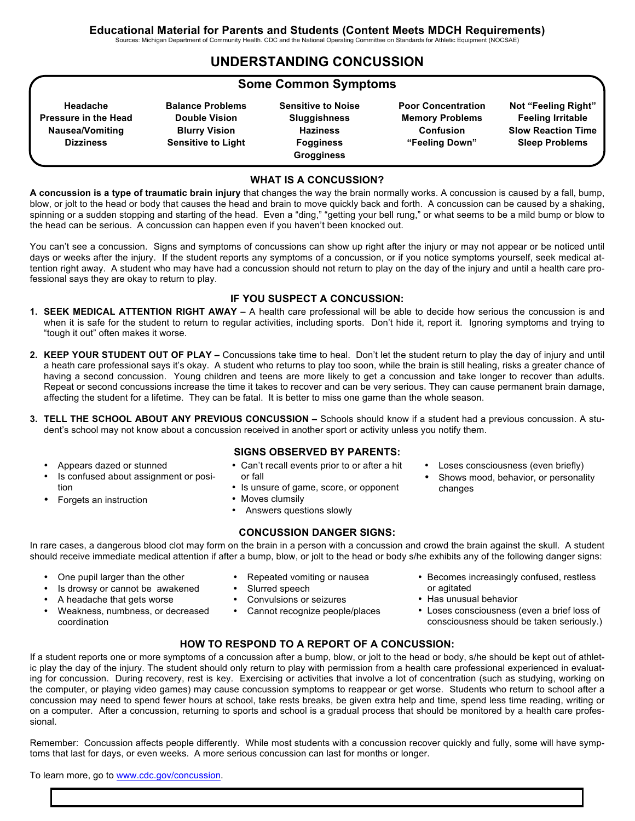Sources: Michigan Department of Community Health. CDC and the National Operating Committee on Standards for Athletic Equipment (NOCSAE)

## **UNDERSTANDING CONCUSSION**

## **Some Common Symptoms**

**Headache Pressure in the Head Nausea/Vomiting Dizziness**

**Balance Problems Double Vision Blurry Vision Sensitive to Light** **Sensitive to Noise Sluggishness Haziness Fogginess Grogginess**

**Poor Concentration Memory Problems Confusion "Feeling Down"**

**Not "Feeling Right" Feeling Irritable Slow Reaction Time Sleep Problems**

#### **WHAT IS A CONCUSSION?**

**A concussion is a type of traumatic brain injury** that changes the way the brain normally works. A concussion is caused by a fall, bump, blow, or jolt to the head or body that causes the head and brain to move quickly back and forth. A concussion can be caused by a shaking, spinning or a sudden stopping and starting of the head. Even a "ding," "getting your bell rung," or what seems to be a mild bump or blow to the head can be serious. A concussion can happen even if you haven't been knocked out.

You can't see a concussion. Signs and symptoms of concussions can show up right after the injury or may not appear or be noticed until days or weeks after the injury. If the student reports any symptoms of a concussion, or if you notice symptoms yourself, seek medical attention right away. A student who may have had a concussion should not return to play on the day of the injury and until a health care professional says they are okay to return to play.

#### **IF YOU SUSPECT A CONCUSSION:**

- **1. SEEK MEDICAL ATTENTION RIGHT AWAY –** A health care professional will be able to decide how serious the concussion is and when it is safe for the student to return to regular activities, including sports. Don't hide it, report it. Ignoring symptoms and trying to "tough it out" often makes it worse.
- **2. KEEP YOUR STUDENT OUT OF PLAY –** Concussions take time to heal. Don't let the student return to play the day of injury and until a heath care professional says it's okay. A student who returns to play too soon, while the brain is still healing, risks a greater chance of having a second concussion. Young children and teens are more likely to get a concussion and take longer to recover than adults. Repeat or second concussions increase the time it takes to recover and can be very serious. They can cause permanent brain damage, affecting the student for a lifetime. They can be fatal. It is better to miss one game than the whole season.
- **3. TELL THE SCHOOL ABOUT ANY PREVIOUS CONCUSSION –** Schools should know if a student had a previous concussion. A student's school may not know about a concussion received in another sport or activity unless you notify them.
	- Appears dazed or stunned
	- Is confused about assignment or position
	- Forgets an instruction

#### **SIGNS OBSERVED BY PARENTS:**

- Can't recall events prior to or after a hit or fall
- Is unsure of game, score, or opponent
- Moves clumsily
- Answers questions slowly

#### **CONCUSSION DANGER SIGNS:**

In rare cases, a dangerous blood clot may form on the brain in a person with a concussion and crowd the brain against the skull. A student should receive immediate medical attention if after a bump, blow, or jolt to the head or body s/he exhibits any of the following danger signs:

- One pupil larger than the other
- Is drowsy or cannot be awakened
- A headache that gets worse
	- Weakness, numbness, or decreased coordination
- Repeated vomiting or nausea
	- Slurred speech
	- Convulsions or seizures
	- Cannot recognize people/places
- Becomes increasingly confused, restless or agitated

Loses consciousness (even briefly) Shows mood, behavior, or personality

• Has unusual behavior

changes

• Loses consciousness (even a brief loss of consciousness should be taken seriously.)

## **HOW TO RESPOND TO A REPORT OF A CONCUSSION:**

If a student reports one or more symptoms of a concussion after a bump, blow, or jolt to the head or body, s/he should be kept out of athletic play the day of the injury. The student should only return to play with permission from a health care professional experienced in evaluating for concussion. During recovery, rest is key. Exercising or activities that involve a lot of concentration (such as studying, working on the computer, or playing video games) may cause concussion symptoms to reappear or get worse. Students who return to school after a concussion may need to spend fewer hours at school, take rests breaks, be given extra help and time, spend less time reading, writing or on a computer. After a concussion, returning to sports and school is a gradual process that should be monitored by a health care professional.

Remember: Concussion affects people differently. While most students with a concussion recover quickly and fully, some will have symptoms that last for days, or even weeks. A more serious concussion can last for months or longer.

To learn more, go to www.cdc.gov/concussion.